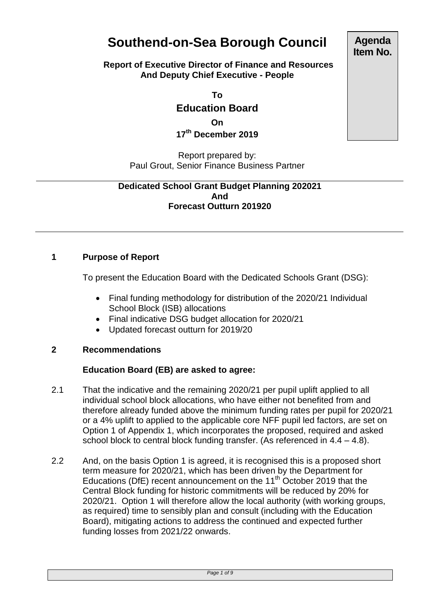# **Southend-on-Sea Borough Council**

#### **Report of Executive Director of Finance and Resources And Deputy Chief Executive - People**

**To**

**Education Board**

**On**

**17 th December 2019**

Report prepared by: Paul Grout, Senior Finance Business Partner

#### **Dedicated School Grant Budget Planning 202021 And Forecast Outturn 201920**

# **1 Purpose of Report**

To present the Education Board with the Dedicated Schools Grant (DSG):

- Final funding methodology for distribution of the 2020/21 Individual School Block (ISB) allocations
- Final indicative DSG budget allocation for 2020/21
- Updated forecast outturn for 2019/20

# **2 Recommendations**

# **Education Board (EB) are asked to agree:**

- 2.1 That the indicative and the remaining 2020/21 per pupil uplift applied to all individual school block allocations, who have either not benefited from and therefore already funded above the minimum funding rates per pupil for 2020/21 or a 4% uplift to applied to the applicable core NFF pupil led factors, are set on Option 1 of Appendix 1, which incorporates the proposed, required and asked school block to central block funding transfer. (As referenced in 4.4 – 4.8).
- 2.2 And, on the basis Option 1 is agreed, it is recognised this is a proposed short term measure for 2020/21, which has been driven by the Department for Educations (DfE) recent announcement on the 11<sup>th</sup> October 2019 that the Central Block funding for historic commitments will be reduced by 20% for 2020/21. Option 1 will therefore allow the local authority (with working groups, as required) time to sensibly plan and consult (including with the Education Board), mitigating actions to address the continued and expected further funding losses from 2021/22 onwards.

**Agenda Item No.**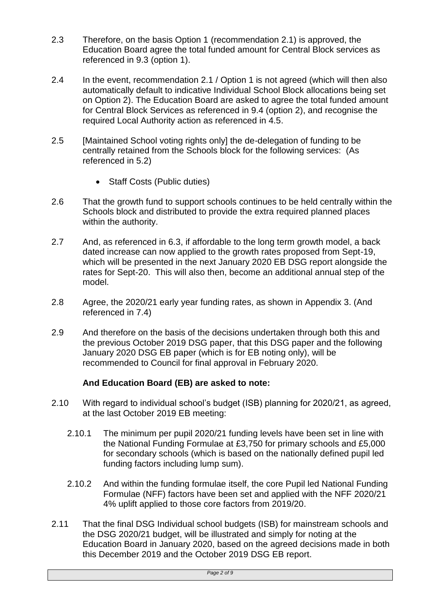- 2.3 Therefore, on the basis Option 1 (recommendation 2.1) is approved, the Education Board agree the total funded amount for Central Block services as referenced in 9.3 (option 1).
- 2.4 In the event, recommendation 2.1 / Option 1 is not agreed (which will then also automatically default to indicative Individual School Block allocations being set on Option 2). The Education Board are asked to agree the total funded amount for Central Block Services as referenced in 9.4 (option 2), and recognise the required Local Authority action as referenced in 4.5.
- 2.5 [Maintained School voting rights only] the de-delegation of funding to be centrally retained from the Schools block for the following services: (As referenced in 5.2)
	- Staff Costs (Public duties)
- 2.6 That the growth fund to support schools continues to be held centrally within the Schools block and distributed to provide the extra required planned places within the authority.
- 2.7 And, as referenced in 6.3, if affordable to the long term growth model, a back dated increase can now applied to the growth rates proposed from Sept-19, which will be presented in the next January 2020 EB DSG report alongside the rates for Sept-20. This will also then, become an additional annual step of the model.
- 2.8 Agree, the 2020/21 early year funding rates, as shown in Appendix 3. (And referenced in 7.4)
- 2.9 And therefore on the basis of the decisions undertaken through both this and the previous October 2019 DSG paper, that this DSG paper and the following January 2020 DSG EB paper (which is for EB noting only), will be recommended to Council for final approval in February 2020.

# **And Education Board (EB) are asked to note:**

- 2.10 With regard to individual school's budget (ISB) planning for 2020/21, as agreed, at the last October 2019 EB meeting:
	- 2.10.1 The minimum per pupil 2020/21 funding levels have been set in line with the National Funding Formulae at £3,750 for primary schools and £5,000 for secondary schools (which is based on the nationally defined pupil led funding factors including lump sum).
	- 2.10.2 And within the funding formulae itself, the core Pupil led National Funding Formulae (NFF) factors have been set and applied with the NFF 2020/21 4% uplift applied to those core factors from 2019/20.
- 2.11 That the final DSG Individual school budgets (ISB) for mainstream schools and the DSG 2020/21 budget, will be illustrated and simply for noting at the Education Board in January 2020, based on the agreed decisions made in both this December 2019 and the October 2019 DSG EB report.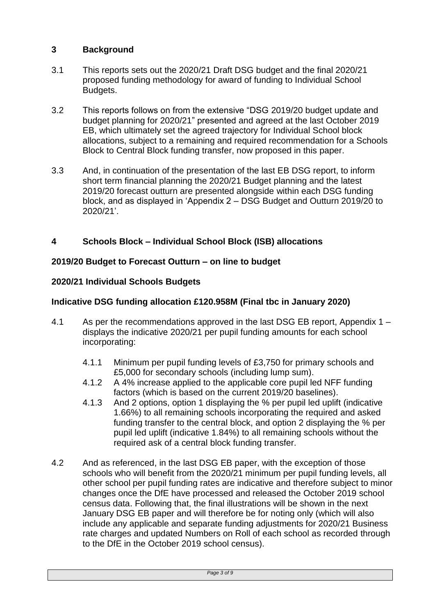# **3 Background**

- 3.1 This reports sets out the 2020/21 Draft DSG budget and the final 2020/21 proposed funding methodology for award of funding to Individual School Budgets.
- 3.2 This reports follows on from the extensive "DSG 2019/20 budget update and budget planning for 2020/21" presented and agreed at the last October 2019 EB, which ultimately set the agreed trajectory for Individual School block allocations, subject to a remaining and required recommendation for a Schools Block to Central Block funding transfer, now proposed in this paper.
- 3.3 And, in continuation of the presentation of the last EB DSG report, to inform short term financial planning the 2020/21 Budget planning and the latest 2019/20 forecast outturn are presented alongside within each DSG funding block, and as displayed in 'Appendix 2 – DSG Budget and Outturn 2019/20 to 2020/21'.

# **4 Schools Block – Individual School Block (ISB) allocations**

# **2019/20 Budget to Forecast Outturn – on line to budget**

# **2020/21 Individual Schools Budgets**

# **Indicative DSG funding allocation £120.958M (Final tbc in January 2020)**

- 4.1 As per the recommendations approved in the last DSG EB report, Appendix 1 displays the indicative 2020/21 per pupil funding amounts for each school incorporating:
	- 4.1.1 Minimum per pupil funding levels of £3,750 for primary schools and £5,000 for secondary schools (including lump sum).
	- 4.1.2 A 4% increase applied to the applicable core pupil led NFF funding factors (which is based on the current 2019/20 baselines).
	- 4.1.3 And 2 options, option 1 displaying the % per pupil led uplift (indicative 1.66%) to all remaining schools incorporating the required and asked funding transfer to the central block, and option 2 displaying the % per pupil led uplift (indicative 1.84%) to all remaining schools without the required ask of a central block funding transfer.
- 4.2 And as referenced, in the last DSG EB paper, with the exception of those schools who will benefit from the 2020/21 minimum per pupil funding levels, all other school per pupil funding rates are indicative and therefore subject to minor changes once the DfE have processed and released the October 2019 school census data. Following that, the final illustrations will be shown in the next January DSG EB paper and will therefore be for noting only (which will also include any applicable and separate funding adjustments for 2020/21 Business rate charges and updated Numbers on Roll of each school as recorded through to the DfE in the October 2019 school census).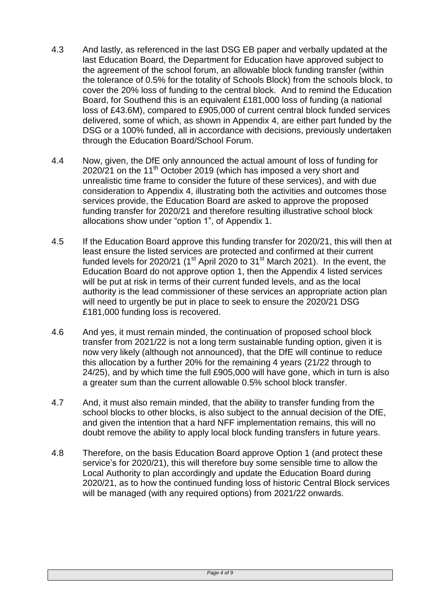- 4.3 And lastly, as referenced in the last DSG EB paper and verbally updated at the last Education Board, the Department for Education have approved subject to the agreement of the school forum, an allowable block funding transfer (within the tolerance of 0.5% for the totality of Schools Block) from the schools block, to cover the 20% loss of funding to the central block. And to remind the Education Board, for Southend this is an equivalent £181,000 loss of funding (a national loss of £43.6M), compared to £905,000 of current central block funded services delivered, some of which, as shown in Appendix 4, are either part funded by the DSG or a 100% funded, all in accordance with decisions, previously undertaken through the Education Board/School Forum.
- 4.4 Now, given, the DfE only announced the actual amount of loss of funding for 2020/21 on the 11<sup>th</sup> October 2019 (which has imposed a very short and unrealistic time frame to consider the future of these services), and with due consideration to Appendix 4, illustrating both the activities and outcomes those services provide, the Education Board are asked to approve the proposed funding transfer for 2020/21 and therefore resulting illustrative school block allocations show under "option 1", of Appendix 1.
- 4.5 If the Education Board approve this funding transfer for 2020/21, this will then at least ensure the listed services are protected and confirmed at their current funded levels for 2020/21 (1<sup>st</sup> April 2020 to 31<sup>st</sup> March 2021). In the event, the Education Board do not approve option 1, then the Appendix 4 listed services will be put at risk in terms of their current funded levels, and as the local authority is the lead commissioner of these services an appropriate action plan will need to urgently be put in place to seek to ensure the 2020/21 DSG £181,000 funding loss is recovered.
- 4.6 And yes, it must remain minded, the continuation of proposed school block transfer from 2021/22 is not a long term sustainable funding option, given it is now very likely (although not announced), that the DfE will continue to reduce this allocation by a further 20% for the remaining 4 years (21/22 through to 24/25), and by which time the full £905,000 will have gone, which in turn is also a greater sum than the current allowable 0.5% school block transfer.
- 4.7 And, it must also remain minded, that the ability to transfer funding from the school blocks to other blocks, is also subject to the annual decision of the DfE, and given the intention that a hard NFF implementation remains, this will no doubt remove the ability to apply local block funding transfers in future years.
- 4.8 Therefore, on the basis Education Board approve Option 1 (and protect these service's for 2020/21), this will therefore buy some sensible time to allow the Local Authority to plan accordingly and update the Education Board during 2020/21, as to how the continued funding loss of historic Central Block services will be managed (with any required options) from 2021/22 onwards.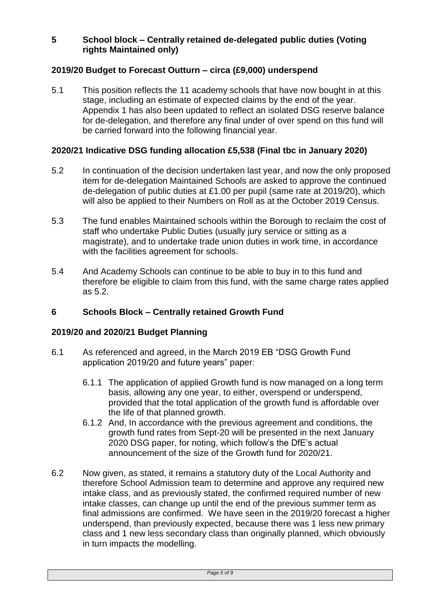# **5 School block – Centrally retained de-delegated public duties (Voting rights Maintained only)**

# **2019/20 Budget to Forecast Outturn – circa (£9,000) underspend**

5.1 This position reflects the 11 academy schools that have now bought in at this stage, including an estimate of expected claims by the end of the year. Appendix 1 has also been updated to reflect an isolated DSG reserve balance for de-delegation, and therefore any final under of over spend on this fund will be carried forward into the following financial year.

# **2020/21 Indicative DSG funding allocation £5,538 (Final tbc in January 2020)**

- 5.2 In continuation of the decision undertaken last year, and now the only proposed item for de-delegation Maintained Schools are asked to approve the continued de-delegation of public duties at £1.00 per pupil (same rate at 2019/20), which will also be applied to their Numbers on Roll as at the October 2019 Census.
- 5.3 The fund enables Maintained schools within the Borough to reclaim the cost of staff who undertake Public Duties (usually jury service or sitting as a magistrate), and to undertake trade union duties in work time, in accordance with the facilities agreement for schools.
- 5.4 And Academy Schools can continue to be able to buy in to this fund and therefore be eligible to claim from this fund, with the same charge rates applied as 5.2.

# **6 Schools Block – Centrally retained Growth Fund**

# **2019/20 and 2020/21 Budget Planning**

- 6.1 As referenced and agreed, in the March 2019 EB "DSG Growth Fund application 2019/20 and future years" paper:
	- 6.1.1 The application of applied Growth fund is now managed on a long term basis, allowing any one year, to either, overspend or underspend, provided that the total application of the growth fund is affordable over the life of that planned growth.
	- 6.1.2 And, In accordance with the previous agreement and conditions, the growth fund rates from Sept-20 will be presented in the next January 2020 DSG paper, for noting, which follow's the DfE's actual announcement of the size of the Growth fund for 2020/21.
- 6.2 Now given, as stated, it remains a statutory duty of the Local Authority and therefore School Admission team to determine and approve any required new intake class, and as previously stated, the confirmed required number of new intake classes, can change up until the end of the previous summer term as final admissions are confirmed. We have seen in the 2019/20 forecast a higher underspend, than previously expected, because there was 1 less new primary class and 1 new less secondary class than originally planned, which obviously in turn impacts the modelling.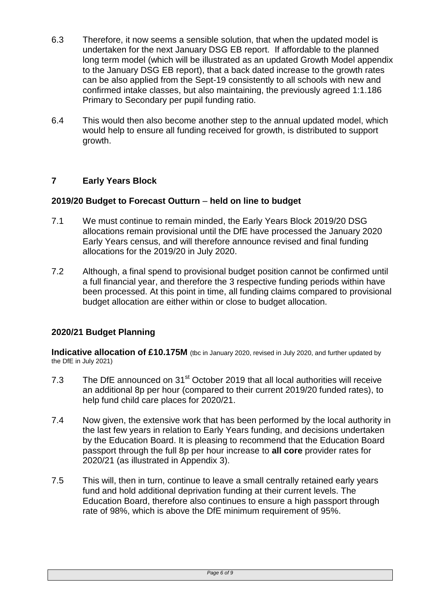- 6.3 Therefore, it now seems a sensible solution, that when the updated model is undertaken for the next January DSG EB report. If affordable to the planned long term model (which will be illustrated as an updated Growth Model appendix to the January DSG EB report), that a back dated increase to the growth rates can be also applied from the Sept-19 consistently to all schools with new and confirmed intake classes, but also maintaining, the previously agreed 1:1.186 Primary to Secondary per pupil funding ratio.
- 6.4 This would then also become another step to the annual updated model, which would help to ensure all funding received for growth, is distributed to support growth.

# **7 Early Years Block**

#### **2019/20 Budget to Forecast Outturn** – **held on line to budget**

- 7.1 We must continue to remain minded, the Early Years Block 2019/20 DSG allocations remain provisional until the DfE have processed the January 2020 Early Years census, and will therefore announce revised and final funding allocations for the 2019/20 in July 2020.
- 7.2 Although, a final spend to provisional budget position cannot be confirmed until a full financial year, and therefore the 3 respective funding periods within have been processed. At this point in time, all funding claims compared to provisional budget allocation are either within or close to budget allocation.

# **2020/21 Budget Planning**

**Indicative allocation of £10.175M** (tbc in January 2020, revised in July 2020, and further updated by the DfE in July 2021)

- 7.3 The DfE announced on 31<sup>st</sup> October 2019 that all local authorities will receive an additional 8p per hour (compared to their current 2019/20 funded rates), to help fund child care places for 2020/21.
- 7.4 Now given, the extensive work that has been performed by the local authority in the last few years in relation to Early Years funding, and decisions undertaken by the Education Board. It is pleasing to recommend that the Education Board passport through the full 8p per hour increase to **all core** provider rates for 2020/21 (as illustrated in Appendix 3).
- 7.5 This will, then in turn, continue to leave a small centrally retained early years fund and hold additional deprivation funding at their current levels. The Education Board, therefore also continues to ensure a high passport through rate of 98%, which is above the DfE minimum requirement of 95%.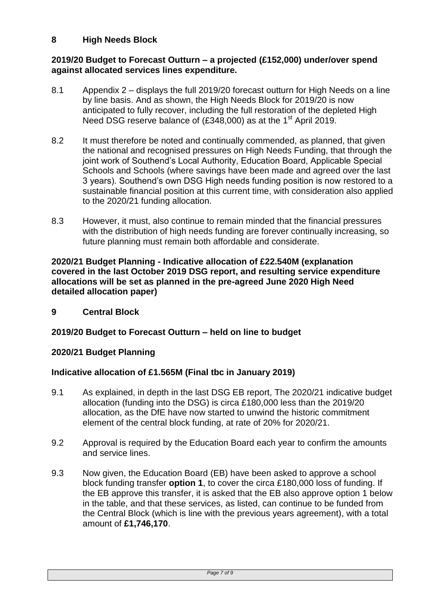# **8 High Needs Block**

#### **2019/20 Budget to Forecast Outturn – a projected (£152,000) under/over spend against allocated services lines expenditure.**

- 8.1 Appendix 2 displays the full 2019/20 forecast outturn for High Needs on a line by line basis. And as shown, the High Needs Block for 2019/20 is now anticipated to fully recover, including the full restoration of the depleted High Need DSG reserve balance of  $(£348,000)$  as at the 1<sup>st</sup> April 2019.
- 8.2 It must therefore be noted and continually commended, as planned, that given the national and recognised pressures on High Needs Funding, that through the joint work of Southend's Local Authority, Education Board, Applicable Special Schools and Schools (where savings have been made and agreed over the last 3 years). Southend's own DSG High needs funding position is now restored to a sustainable financial position at this current time, with consideration also applied to the 2020/21 funding allocation.
- 8.3 However, it must, also continue to remain minded that the financial pressures with the distribution of high needs funding are forever continually increasing, so future planning must remain both affordable and considerate.

#### **2020/21 Budget Planning - Indicative allocation of £22.540M (explanation covered in the last October 2019 DSG report, and resulting service expenditure allocations will be set as planned in the pre-agreed June 2020 High Need detailed allocation paper)**

**9 Central Block**

# **2019/20 Budget to Forecast Outturn – held on line to budget**

# **2020/21 Budget Planning**

# **Indicative allocation of £1.565M (Final tbc in January 2019)**

- 9.1 As explained, in depth in the last DSG EB report, The 2020/21 indicative budget allocation (funding into the DSG) is circa £180,000 less than the 2019/20 allocation, as the DfE have now started to unwind the historic commitment element of the central block funding, at rate of 20% for 2020/21.
- 9.2 Approval is required by the Education Board each year to confirm the amounts and service lines.
- 9.3 Now given, the Education Board (EB) have been asked to approve a school block funding transfer **option 1**, to cover the circa £180,000 loss of funding. If the EB approve this transfer, it is asked that the EB also approve option 1 below in the table, and that these services, as listed, can continue to be funded from the Central Block (which is line with the previous years agreement), with a total amount of **£1,746,170**.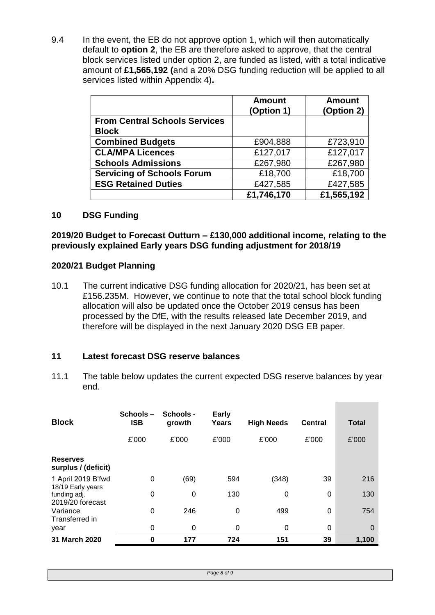9.4 In the event, the EB do not approve option 1, which will then automatically default to **option 2**, the EB are therefore asked to approve, that the central block services listed under option 2, are funded as listed, with a total indicative amount of **£1,565,192 (**and a 20% DSG funding reduction will be applied to all services listed within Appendix 4)**.**

|                                      | <b>Amount</b><br>(Option 1) | <b>Amount</b><br>(Option 2) |
|--------------------------------------|-----------------------------|-----------------------------|
| <b>From Central Schools Services</b> |                             |                             |
| <b>Block</b>                         |                             |                             |
| <b>Combined Budgets</b>              | £904,888                    | £723,910                    |
| <b>CLA/MPA Licences</b>              | £127,017                    | £127,017                    |
| <b>Schools Admissions</b>            | £267,980                    | £267,980                    |
| <b>Servicing of Schools Forum</b>    | £18,700                     | £18,700                     |
| <b>ESG Retained Duties</b>           | £427,585                    | £427,585                    |
|                                      | £1,746,170                  | £1,565,192                  |

#### **10 DSG Funding**

#### **2019/20 Budget to Forecast Outturn – £130,000 additional income, relating to the previously explained Early years DSG funding adjustment for 2018/19**

#### **2020/21 Budget Planning**

10.1 The current indicative DSG funding allocation for 2020/21, has been set at £156.235M. However, we continue to note that the total school block funding allocation will also be updated once the October 2019 census has been processed by the DfE, with the results released late December 2019, and therefore will be displayed in the next January 2020 DSG EB paper.

# **11 Latest forecast DSG reserve balances**

11.1 The table below updates the current expected DSG reserve balances by year end.

| <b>Block</b>                                          | Schools-<br><b>ISB</b> | <b>Schools -</b><br>growth | <b>Early</b><br>Years | <b>High Needs</b> | <b>Central</b> | <b>Total</b> |
|-------------------------------------------------------|------------------------|----------------------------|-----------------------|-------------------|----------------|--------------|
|                                                       | £'000                  | £'000                      | £'000                 | £'000             | £'000          | £'000        |
| <b>Reserves</b><br>surplus / (deficit)                |                        |                            |                       |                   |                |              |
| 1 April 2019 B'fwd                                    | 0                      | (69)                       | 594                   | (348)             | 39             | 216          |
| 18/19 Early years<br>funding adj.<br>2019/20 forecast | 0                      | 0                          | 130                   | 0                 | $\Omega$       | 130          |
| Variance<br>Transferred in                            | $\Omega$               | 246                        | 0                     | 499               | $\Omega$       | 754          |
| year                                                  | 0                      | 0                          | 0                     | 0                 | $\Omega$       | $\mathbf 0$  |
| 31 March 2020                                         | 0                      | 177                        | 724                   | 151               | 39             | 1.100        |